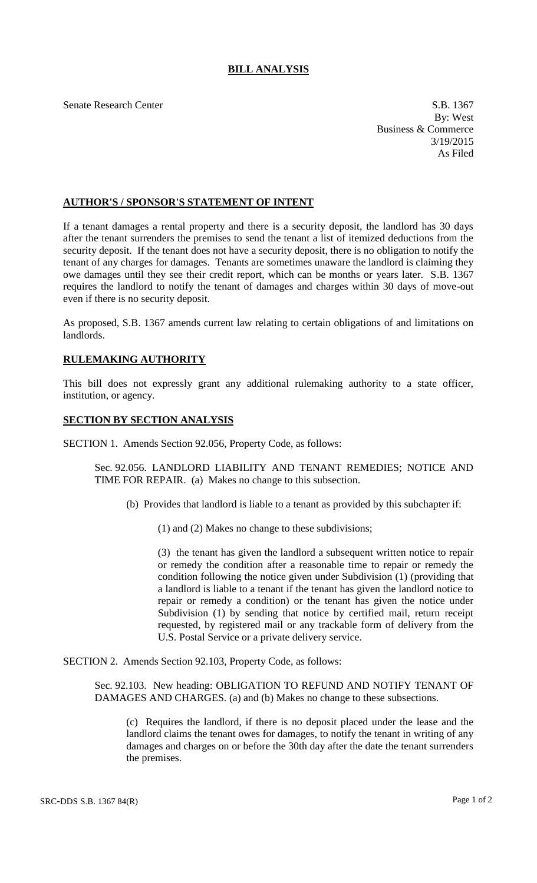## **BILL ANALYSIS**

Senate Research Center S.B. 1367

By: West Business & Commerce 3/19/2015 As Filed

## **AUTHOR'S / SPONSOR'S STATEMENT OF INTENT**

If a tenant damages a rental property and there is a security deposit, the landlord has 30 days after the tenant surrenders the premises to send the tenant a list of itemized deductions from the security deposit. If the tenant does not have a security deposit, there is no obligation to notify the tenant of any charges for damages. Tenants are sometimes unaware the landlord is claiming they owe damages until they see their credit report, which can be months or years later. S.B. 1367 requires the landlord to notify the tenant of damages and charges within 30 days of move-out even if there is no security deposit.

As proposed, S.B. 1367 amends current law relating to certain obligations of and limitations on landlords.

## **RULEMAKING AUTHORITY**

This bill does not expressly grant any additional rulemaking authority to a state officer, institution, or agency.

## **SECTION BY SECTION ANALYSIS**

SECTION 1. Amends Section 92.056, Property Code, as follows:

Sec. 92.056. LANDLORD LIABILITY AND TENANT REMEDIES; NOTICE AND TIME FOR REPAIR. (a) Makes no change to this subsection.

(b) Provides that landlord is liable to a tenant as provided by this subchapter if:

(1) and (2) Makes no change to these subdivisions;

(3) the tenant has given the landlord a subsequent written notice to repair or remedy the condition after a reasonable time to repair or remedy the condition following the notice given under Subdivision (1) (providing that a landlord is liable to a tenant if the tenant has given the landlord notice to repair or remedy a condition) or the tenant has given the notice under Subdivision (1) by sending that notice by certified mail, return receipt requested, by registered mail or any trackable form of delivery from the U.S. Postal Service or a private delivery service.

SECTION 2. Amends Section 92.103, Property Code, as follows:

Sec. 92.103. New heading: OBLIGATION TO REFUND AND NOTIFY TENANT OF DAMAGES AND CHARGES. (a) and (b) Makes no change to these subsections.

(c) Requires the landlord, if there is no deposit placed under the lease and the landlord claims the tenant owes for damages, to notify the tenant in writing of any damages and charges on or before the 30th day after the date the tenant surrenders the premises.